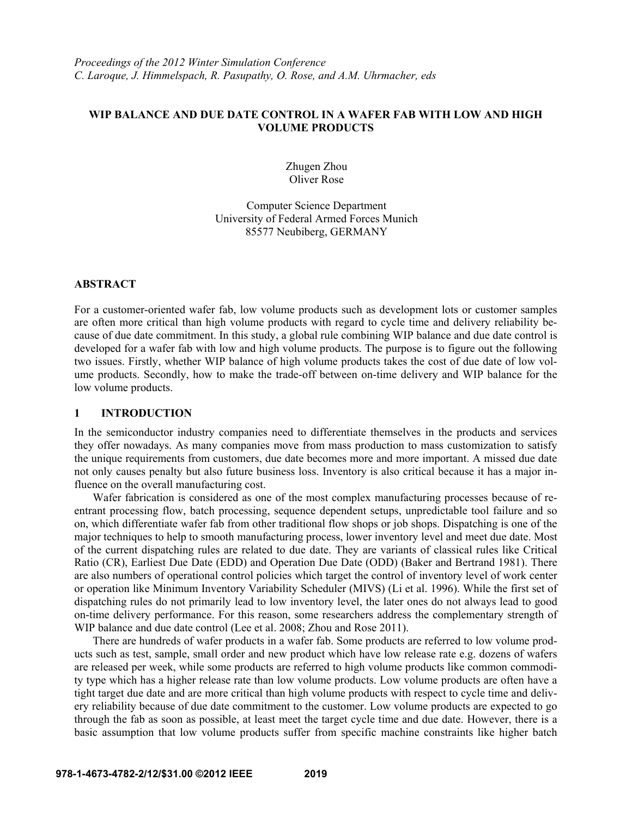### **WIP BALANCE AND DUE DATE CONTROL IN A WAFER FAB WITH LOW AND HIGH VOLUME PRODUCTS**

Zhugen Zhou Oliver Rose

Computer Science Department University of Federal Armed Forces Munich 85577 Neubiberg, GERMANY

# **ABSTRACT**

For a customer-oriented wafer fab, low volume products such as development lots or customer samples are often more critical than high volume products with regard to cycle time and delivery reliability because of due date commitment. In this study, a global rule combining WIP balance and due date control is developed for a wafer fab with low and high volume products. The purpose is to figure out the following two issues. Firstly, whether WIP balance of high volume products takes the cost of due date of low volume products. Secondly, how to make the trade-off between on-time delivery and WIP balance for the low volume products.

#### **1 INTRODUCTION**

In the semiconductor industry companies need to differentiate themselves in the products and services they offer nowadays. As many companies move from mass production to mass customization to satisfy the unique requirements from customers, due date becomes more and more important. A missed due date not only causes penalty but also future business loss. Inventory is also critical because it has a major influence on the overall manufacturing cost.

 Wafer fabrication is considered as one of the most complex manufacturing processes because of reentrant processing flow, batch processing, sequence dependent setups, unpredictable tool failure and so on, which differentiate wafer fab from other traditional flow shops or job shops. Dispatching is one of the major techniques to help to smooth manufacturing process, lower inventory level and meet due date. Most of the current dispatching rules are related to due date. They are variants of classical rules like Critical Ratio (CR), Earliest Due Date (EDD) and Operation Due Date (ODD) (Baker and Bertrand 1981). There are also numbers of operational control policies which target the control of inventory level of work center or operation like Minimum Inventory Variability Scheduler (MIVS) (Li et al. 1996). While the first set of dispatching rules do not primarily lead to low inventory level, the later ones do not always lead to good on-time delivery performance. For this reason, some researchers address the complementary strength of WIP balance and due date control (Lee et al. 2008; Zhou and Rose 2011).

There are hundreds of wafer products in a wafer fab. Some products are referred to low volume products such as test, sample, small order and new product which have low release rate e.g. dozens of wafers are released per week, while some products are referred to high volume products like common commodity type which has a higher release rate than low volume products. Low volume products are often have a tight target due date and are more critical than high volume products with respect to cycle time and delivery reliability because of due date commitment to the customer. Low volume products are expected to go through the fab as soon as possible, at least meet the target cycle time and due date. However, there is a basic assumption that low volume products suffer from specific machine constraints like higher batch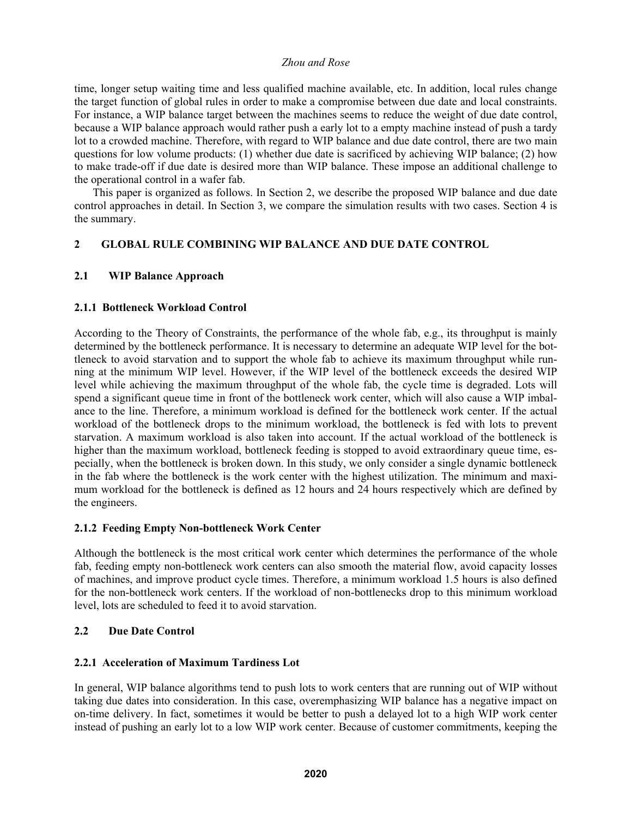time, longer setup waiting time and less qualified machine available, etc. In addition, local rules change the target function of global rules in order to make a compromise between due date and local constraints. For instance, a WIP balance target between the machines seems to reduce the weight of due date control, because a WIP balance approach would rather push a early lot to a empty machine instead of push a tardy lot to a crowded machine. Therefore, with regard to WIP balance and due date control, there are two main questions for low volume products: (1) whether due date is sacrificed by achieving WIP balance; (2) how to make trade-off if due date is desired more than WIP balance. These impose an additional challenge to the operational control in a wafer fab.

This paper is organized as follows. In Section 2, we describe the proposed WIP balance and due date control approaches in detail. In Section 3, we compare the simulation results with two cases. Section 4 is the summary.

# **2 GLOBAL RULE COMBINING WIP BALANCE AND DUE DATE CONTROL**

# **2.1 WIP Balance Approach**

# **2.1.1 Bottleneck Workload Control**

According to the Theory of Constraints, the performance of the whole fab, e.g., its throughput is mainly determined by the bottleneck performance. It is necessary to determine an adequate WIP level for the bottleneck to avoid starvation and to support the whole fab to achieve its maximum throughput while running at the minimum WIP level. However, if the WIP level of the bottleneck exceeds the desired WIP level while achieving the maximum throughput of the whole fab, the cycle time is degraded. Lots will spend a significant queue time in front of the bottleneck work center, which will also cause a WIP imbalance to the line. Therefore, a minimum workload is defined for the bottleneck work center. If the actual workload of the bottleneck drops to the minimum workload, the bottleneck is fed with lots to prevent starvation. A maximum workload is also taken into account. If the actual workload of the bottleneck is higher than the maximum workload, bottleneck feeding is stopped to avoid extraordinary queue time, especially, when the bottleneck is broken down. In this study, we only consider a single dynamic bottleneck in the fab where the bottleneck is the work center with the highest utilization. The minimum and maximum workload for the bottleneck is defined as 12 hours and 24 hours respectively which are defined by the engineers.

# **2.1.2 Feeding Empty Non-bottleneck Work Center**

Although the bottleneck is the most critical work center which determines the performance of the whole fab, feeding empty non-bottleneck work centers can also smooth the material flow, avoid capacity losses of machines, and improve product cycle times. Therefore, a minimum workload 1.5 hours is also defined for the non-bottleneck work centers. If the workload of non-bottlenecks drop to this minimum workload level, lots are scheduled to feed it to avoid starvation.

### **2.2 Due Date Control**

### **2.2.1 Acceleration of Maximum Tardiness Lot**

In general, WIP balance algorithms tend to push lots to work centers that are running out of WIP without taking due dates into consideration. In this case, overemphasizing WIP balance has a negative impact on on-time delivery. In fact, sometimes it would be better to push a delayed lot to a high WIP work center instead of pushing an early lot to a low WIP work center. Because of customer commitments, keeping the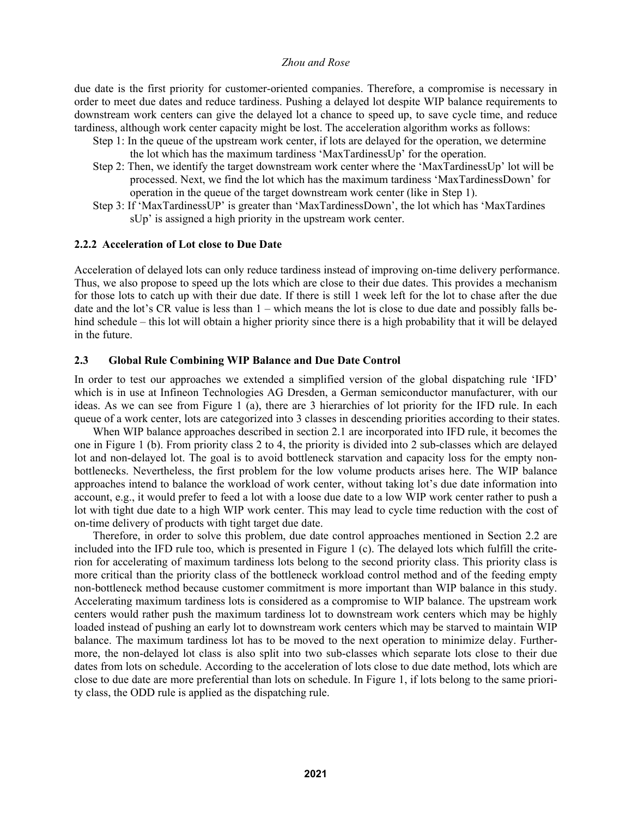due date is the first priority for customer-oriented companies. Therefore, a compromise is necessary in order to meet due dates and reduce tardiness. Pushing a delayed lot despite WIP balance requirements to downstream work centers can give the delayed lot a chance to speed up, to save cycle time, and reduce tardiness, although work center capacity might be lost. The acceleration algorithm works as follows:

- Step 1: In the queue of the upstream work center, if lots are delayed for the operation, we determine the lot which has the maximum tardiness 'MaxTardinessUp' for the operation.
- Step 2: Then, we identify the target downstream work center where the 'MaxTardinessUp' lot will be processed. Next, we find the lot which has the maximum tardiness 'MaxTardinessDown' for operation in the queue of the target downstream work center (like in Step 1).
- Step 3: If 'MaxTardinessUP' is greater than 'MaxTardinessDown', the lot which has 'MaxTardines sUp' is assigned a high priority in the upstream work center.

#### **2.2.2 Acceleration of Lot close to Due Date**

Acceleration of delayed lots can only reduce tardiness instead of improving on-time delivery performance. Thus, we also propose to speed up the lots which are close to their due dates. This provides a mechanism for those lots to catch up with their due date. If there is still 1 week left for the lot to chase after the due date and the lot's CR value is less than  $1 -$  which means the lot is close to due date and possibly falls behind schedule – this lot will obtain a higher priority since there is a high probability that it will be delayed in the future.

#### **2.3 Global Rule Combining WIP Balance and Due Date Control**

In order to test our approaches we extended a simplified version of the global dispatching rule 'IFD' which is in use at Infineon Technologies AG Dresden, a German semiconductor manufacturer, with our ideas. As we can see from Figure 1 (a), there are 3 hierarchies of lot priority for the IFD rule. In each queue of a work center, lots are categorized into 3 classes in descending priorities according to their states.

 When WIP balance approaches described in section 2.1 are incorporated into IFD rule, it becomes the one in Figure 1 (b). From priority class 2 to 4, the priority is divided into 2 sub-classes which are delayed lot and non-delayed lot. The goal is to avoid bottleneck starvation and capacity loss for the empty nonbottlenecks. Nevertheless, the first problem for the low volume products arises here. The WIP balance approaches intend to balance the workload of work center, without taking lot's due date information into account, e.g., it would prefer to feed a lot with a loose due date to a low WIP work center rather to push a lot with tight due date to a high WIP work center. This may lead to cycle time reduction with the cost of on-time delivery of products with tight target due date.

 Therefore, in order to solve this problem, due date control approaches mentioned in Section 2.2 are included into the IFD rule too, which is presented in Figure 1 (c). The delayed lots which fulfill the criterion for accelerating of maximum tardiness lots belong to the second priority class. This priority class is more critical than the priority class of the bottleneck workload control method and of the feeding empty non-bottleneck method because customer commitment is more important than WIP balance in this study. Accelerating maximum tardiness lots is considered as a compromise to WIP balance. The upstream work centers would rather push the maximum tardiness lot to downstream work centers which may be highly loaded instead of pushing an early lot to downstream work centers which may be starved to maintain WIP balance. The maximum tardiness lot has to be moved to the next operation to minimize delay. Furthermore, the non-delayed lot class is also split into two sub-classes which separate lots close to their due dates from lots on schedule. According to the acceleration of lots close to due date method, lots which are close to due date are more preferential than lots on schedule. In Figure 1, if lots belong to the same priority class, the ODD rule is applied as the dispatching rule.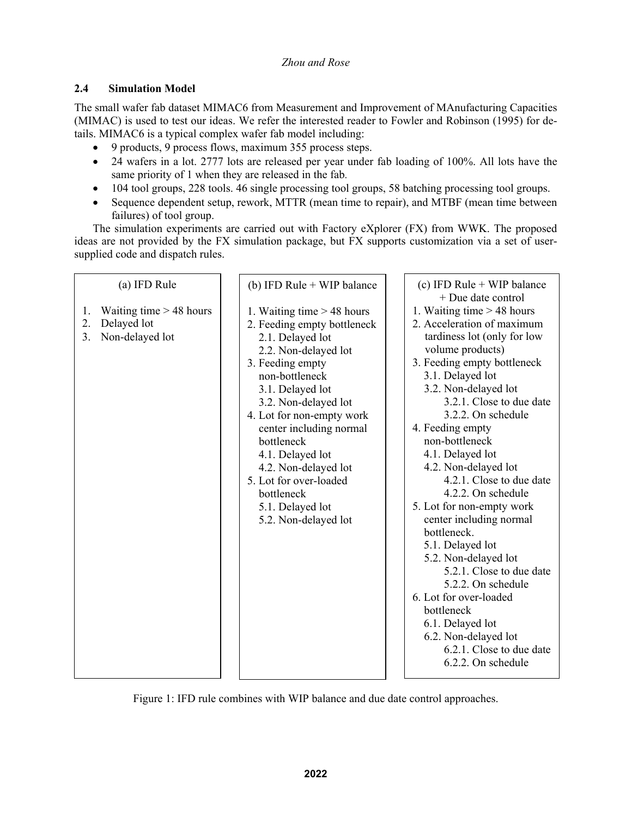# **2.4 Simulation Model**

The small wafer fab dataset MIMAC6 from Measurement and Improvement of MAnufacturing Capacities (MIMAC) is used to test our ideas. We refer the interested reader to Fowler and Robinson (1995) for details. MIMAC6 is a typical complex wafer fab model including:

- 9 products, 9 process flows, maximum 355 process steps.
- 24 wafers in a lot. 2777 lots are released per year under fab loading of 100%. All lots have the same priority of 1 when they are released in the fab.
- 104 tool groups, 228 tools. 46 single processing tool groups, 58 batching processing tool groups.
- Sequence dependent setup, rework, MTTR (mean time to repair), and MTBF (mean time between failures) of tool group.

The simulation experiments are carried out with Factory eXplorer (FX) from WWK. The proposed ideas are not provided by the FX simulation package, but FX supports customization via a set of usersupplied code and dispatch rules.

| (a) IFD Rule                                                                  | (b) IFD Rule $+$ WIP balance                                                                                                                                                                                                                                                                                                                                                                    | (c) IFD Rule $+$ WIP balance<br>+ Due date control                                                                                                                                                                                                                                                                                                                                                                                                                                                                                                                                                                                                                                        |
|-------------------------------------------------------------------------------|-------------------------------------------------------------------------------------------------------------------------------------------------------------------------------------------------------------------------------------------------------------------------------------------------------------------------------------------------------------------------------------------------|-------------------------------------------------------------------------------------------------------------------------------------------------------------------------------------------------------------------------------------------------------------------------------------------------------------------------------------------------------------------------------------------------------------------------------------------------------------------------------------------------------------------------------------------------------------------------------------------------------------------------------------------------------------------------------------------|
| Waiting time $> 48$ hours<br>1.<br>Delayed lot<br>2.<br>Non-delayed lot<br>3. | 1. Waiting time $> 48$ hours<br>2. Feeding empty bottleneck<br>2.1. Delayed lot<br>2.2. Non-delayed lot<br>3. Feeding empty<br>non-bottleneck<br>3.1. Delayed lot<br>3.2. Non-delayed lot<br>4. Lot for non-empty work<br>center including normal<br>bottleneck<br>4.1. Delayed lot<br>4.2. Non-delayed lot<br>5. Lot for over-loaded<br>bottleneck<br>5.1. Delayed lot<br>5.2. Non-delayed lot | 1. Waiting time $> 48$ hours<br>2. Acceleration of maximum<br>tardiness lot (only for low<br>volume products)<br>3. Feeding empty bottleneck<br>3.1. Delayed lot<br>3.2. Non-delayed lot<br>3.2.1. Close to due date<br>3.2.2. On schedule<br>4. Feeding empty<br>non-bottleneck<br>4.1. Delayed lot<br>4.2. Non-delayed lot<br>4.2.1. Close to due date<br>4.2.2. On schedule<br>5. Lot for non-empty work<br>center including normal<br>bottleneck.<br>5.1. Delayed lot<br>5.2. Non-delayed lot<br>5.2.1. Close to due date<br>5.2.2. On schedule<br>6. Lot for over-loaded<br>bottleneck<br>6.1. Delayed lot<br>6.2. Non-delayed lot<br>6.2.1. Close to due date<br>6.2.2. On schedule |

Figure 1: IFD rule combines with WIP balance and due date control approaches.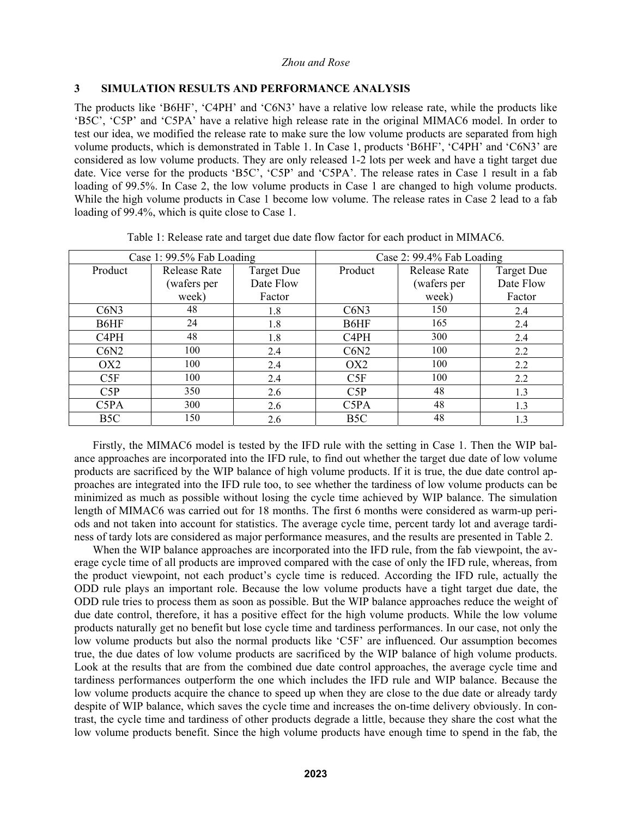#### **3 SIMULATION RESULTS AND PERFORMANCE ANALYSIS**

The products like 'B6HF', 'C4PH' and 'C6N3' have a relative low release rate, while the products like 'B5C', 'C5P' and 'C5PA' have a relative high release rate in the original MIMAC6 model. In order to test our idea, we modified the release rate to make sure the low volume products are separated from high volume products, which is demonstrated in Table 1. In Case 1, products 'B6HF', 'C4PH' and 'C6N3' are considered as low volume products. They are only released 1-2 lots per week and have a tight target due date. Vice verse for the products 'B5C', 'C5P' and 'C5PA'. The release rates in Case 1 result in a fab loading of 99.5%. In Case 2, the low volume products in Case 1 are changed to high volume products. While the high volume products in Case 1 become low volume. The release rates in Case 2 lead to a fab loading of 99.4%, which is quite close to Case 1.

|                               | Case 1: 99.5% Fab Loading                |           | Case 2: 99.4% Fab Loading     |                     |                   |  |
|-------------------------------|------------------------------------------|-----------|-------------------------------|---------------------|-------------------|--|
| Product                       | <b>Release Rate</b><br><b>Target Due</b> |           | Product                       | <b>Release Rate</b> | <b>Target Due</b> |  |
|                               | (wafers per                              | Date Flow |                               | (wafers per         | Date Flow         |  |
|                               | week)                                    | Factor    |                               | week)               | Factor            |  |
| C6N3                          | 48                                       | 1.8       | C6N3                          | 150                 | 2.4               |  |
| B6HF                          | 24                                       | 1.8       | B6HF                          | 165                 | 2.4               |  |
| C4PH                          | 48                                       | 1.8       | C4PH                          | 300                 | 2.4               |  |
| C6N2                          | 100                                      | 2.4       | C6N2                          | 100                 | 2.2               |  |
| OX2                           | 100                                      | 2.4       | OX <sub>2</sub>               | 100                 | 2.2               |  |
| C5F                           | 100                                      | 2.4       | C5F                           | 100                 | 2.2               |  |
| C5P                           | 350                                      | 2.6       | C5P                           | 48                  | 1.3               |  |
| C <sub>5</sub> P <sub>A</sub> | 300                                      | 2.6       | C <sub>5</sub> P <sub>A</sub> | 48                  | 1.3               |  |
| B <sub>5</sub> C              | 150                                      | 2.6       | B <sub>5</sub> C              | 48                  | 1.3               |  |

Table 1: Release rate and target due date flow factor for each product in MIMAC6.

Firstly, the MIMAC6 model is tested by the IFD rule with the setting in Case 1. Then the WIP balance approaches are incorporated into the IFD rule, to find out whether the target due date of low volume products are sacrificed by the WIP balance of high volume products. If it is true, the due date control approaches are integrated into the IFD rule too, to see whether the tardiness of low volume products can be minimized as much as possible without losing the cycle time achieved by WIP balance. The simulation length of MIMAC6 was carried out for 18 months. The first 6 months were considered as warm-up periods and not taken into account for statistics. The average cycle time, percent tardy lot and average tardiness of tardy lots are considered as major performance measures, and the results are presented in Table 2.

When the WIP balance approaches are incorporated into the IFD rule, from the fab viewpoint, the average cycle time of all products are improved compared with the case of only the IFD rule, whereas, from the product viewpoint, not each product's cycle time is reduced. According the IFD rule, actually the ODD rule plays an important role. Because the low volume products have a tight target due date, the ODD rule tries to process them as soon as possible. But the WIP balance approaches reduce the weight of due date control, therefore, it has a positive effect for the high volume products. While the low volume products naturally get no benefit but lose cycle time and tardiness performances. In our case, not only the low volume products but also the normal products like 'C5F' are influenced. Our assumption becomes true, the due dates of low volume products are sacrificed by the WIP balance of high volume products. Look at the results that are from the combined due date control approaches, the average cycle time and tardiness performances outperform the one which includes the IFD rule and WIP balance. Because the low volume products acquire the chance to speed up when they are close to the due date or already tardy despite of WIP balance, which saves the cycle time and increases the on-time delivery obviously. In contrast, the cycle time and tardiness of other products degrade a little, because they share the cost what the low volume products benefit. Since the high volume products have enough time to spend in the fab, the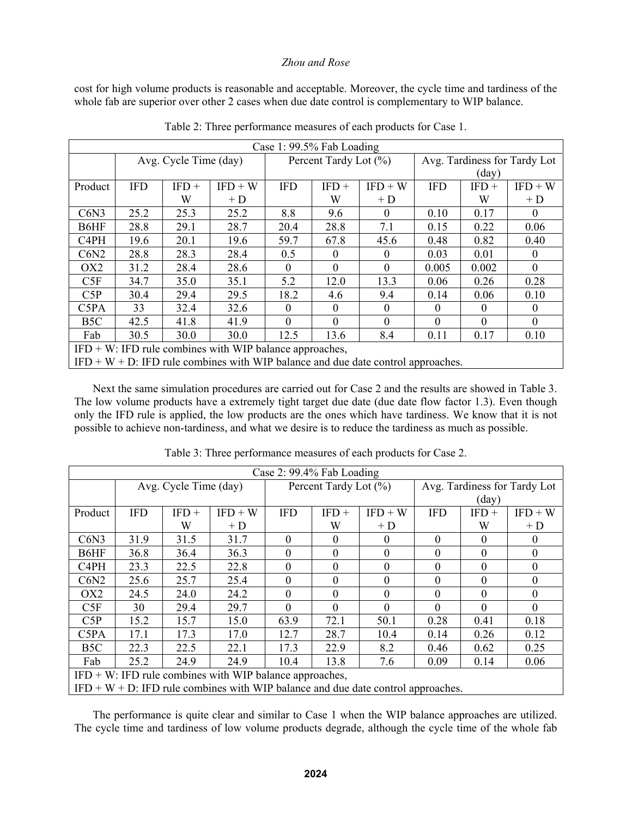cost for high volume products is reasonable and acceptable. Moreover, the cycle time and tardiness of the whole fab are superior over other 2 cases when due date control is complementary to WIP balance.

| Case 1: 99.5% Fab Loading                                                           |                       |         |           |                       |          |                  |                              |          |           |
|-------------------------------------------------------------------------------------|-----------------------|---------|-----------|-----------------------|----------|------------------|------------------------------|----------|-----------|
|                                                                                     | Avg. Cycle Time (day) |         |           | Percent Tardy Lot (%) |          |                  | Avg. Tardiness for Tardy Lot |          |           |
|                                                                                     |                       |         |           |                       |          | $\text{(day)}$   |                              |          |           |
| Product                                                                             | <b>IFD</b>            | $IFD +$ | $IFD + W$ | <b>IFD</b>            | $IFD +$  | $IFD + W$        | <b>IFD</b>                   | $IFD +$  | $IFD + W$ |
|                                                                                     |                       | W       | $+ D$     |                       | W        | $+ D$            |                              | W        | $+ D$     |
| C6N3                                                                                | 25.2                  | 25.3    | 25.2      | 8.8                   | 9.6      | $\theta$         | 0.10                         | 0.17     | $\theta$  |
| B6HF                                                                                | 28.8                  | 29.1    | 28.7      | 20.4                  | 28.8     | 7.1              | 0.15                         | 0.22     | 0.06      |
| C4PH                                                                                | 19.6                  | 20.1    | 19.6      | 59.7                  | 67.8     | 45.6             | 0.48                         | 0.82     | 0.40      |
| C6N2                                                                                | 28.8                  | 28.3    | 28.4      | 0.5                   | $\theta$ | $\theta$         | 0.03                         | 0.01     | $\theta$  |
| OX <sub>2</sub>                                                                     | 31.2                  | 28.4    | 28.6      | $\Omega$              | $\theta$ | $\theta$         | 0.005                        | 0.002    | $\Omega$  |
| C5F                                                                                 | 34.7                  | 35.0    | 35.1      | 5.2                   | 12.0     | 13.3             | 0.06                         | 0.26     | 0.28      |
| C5P                                                                                 | 30.4                  | 29.4    | 29.5      | 18.2                  | 4.6      | 9.4              | 0.14                         | 0.06     | 0.10      |
| C <sub>5</sub> P <sub>A</sub>                                                       | 33                    | 32.4    | 32.6      | 0                     | $\theta$ | $\boldsymbol{0}$ | $\theta$                     | $\theta$ | $\theta$  |
| B <sub>5</sub> C                                                                    | 42.5                  | 41.8    | 41.9      | $\Omega$              | $\Omega$ | $\Omega$         | $\theta$                     | $\Omega$ | $\Omega$  |
| Fab                                                                                 | 30.5                  | 30.0    | 30.0      | 12.5                  | 13.6     | 8.4              | 0.11                         | 0.17     | 0.10      |
| $IFD + W$ : IFD rule combines with WIP balance approaches,                          |                       |         |           |                       |          |                  |                              |          |           |
| $IFD + W + D$ : IFD rule combines with WIP balance and due date control approaches. |                       |         |           |                       |          |                  |                              |          |           |

Table 2: Three performance measures of each products for Case 1.

Next the same simulation procedures are carried out for Case 2 and the results are showed in Table 3. The low volume products have a extremely tight target due date (due date flow factor 1.3). Even though only the IFD rule is applied, the low products are the ones which have tardiness. We know that it is not possible to achieve non-tardiness, and what we desire is to reduce the tardiness as much as possible.

| Case 2: 99.4% Fab Loading                                                           |                       |         |           |                       |                  |           |                              |              |              |
|-------------------------------------------------------------------------------------|-----------------------|---------|-----------|-----------------------|------------------|-----------|------------------------------|--------------|--------------|
|                                                                                     | Avg. Cycle Time (day) |         |           | Percent Tardy Lot (%) |                  |           | Avg. Tardiness for Tardy Lot |              |              |
|                                                                                     |                       |         |           |                       |                  |           | $\text{(day)}$               |              |              |
| Product                                                                             | <b>IFD</b>            | $IFD +$ | $IFD + W$ | <b>IFD</b>            | $IFD +$          | $IFD + W$ | <b>IFD</b>                   | $IFD +$      | $IFD + W$    |
|                                                                                     |                       | W       | $+ D$     |                       | W                | $+D$      |                              | W            | $+ D$        |
| C6N3                                                                                | 31.9                  | 31.5    | 31.7      | $\theta$              | $\boldsymbol{0}$ | $\theta$  | $\mathbf{0}$                 | $\theta$     | $\theta$     |
| B6HF                                                                                | 36.8                  | 36.4    | 36.3      | $\theta$              | $\theta$         | $\theta$  | $\theta$                     | $\theta$     | $\theta$     |
| C4PH                                                                                | 23.3                  | 22.5    | 22.8      | $\theta$              | $\theta$         | $\theta$  | $\theta$                     | $\theta$     | $\theta$     |
| C6N2                                                                                | 25.6                  | 25.7    | 25.4      | $\theta$              | $\theta$         | $\theta$  | $\mathbf{0}$                 | $\mathbf{0}$ | $\theta$     |
| OX <sub>2</sub>                                                                     | 24.5                  | 24.0    | 24.2      | $\Omega$              | $\theta$         | $\theta$  | $\mathbf{0}$                 | $\mathbf{0}$ | $\mathbf{0}$ |
| C5F                                                                                 | 30                    | 29.4    | 29.7      | $\Omega$              | $\Omega$         | $\Omega$  | $\theta$                     | $\Omega$     | $\Omega$     |
| C5P                                                                                 | 15.2                  | 15.7    | 15.0      | 63.9                  | 72.1             | 50.1      | 0.28                         | 0.41         | 0.18         |
| C <sub>5</sub> P <sub>A</sub>                                                       | 17.1                  | 17.3    | 17.0      | 12.7                  | 28.7             | 10.4      | 0.14                         | 0.26         | 0.12         |
| B <sub>5</sub> C                                                                    | 22.3                  | 22.5    | 22.1      | 17.3                  | 22.9             | 8.2       | 0.46                         | 0.62         | 0.25         |
| Fab                                                                                 | 25.2                  | 24.9    | 24.9      | 10.4                  | 13.8             | 7.6       | 0.09                         | 0.14         | 0.06         |
| $IFD + W$ : IFD rule combines with WIP balance approaches,                          |                       |         |           |                       |                  |           |                              |              |              |
| $IFD + W + D$ : IFD rule combines with WIP balance and due date control approaches. |                       |         |           |                       |                  |           |                              |              |              |

Table 3: Three performance measures of each products for Case 2.

The performance is quite clear and similar to Case 1 when the WIP balance approaches are utilized. The cycle time and tardiness of low volume products degrade, although the cycle time of the whole fab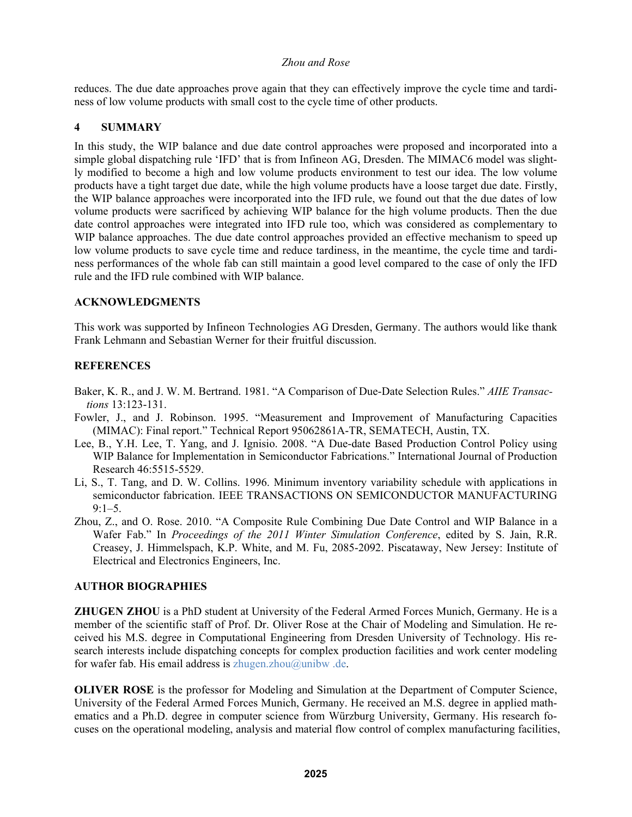reduces. The due date approaches prove again that they can effectively improve the cycle time and tardiness of low volume products with small cost to the cycle time of other products.

# **4 SUMMARY**

In this study, the WIP balance and due date control approaches were proposed and incorporated into a simple global dispatching rule 'IFD' that is from Infineon AG, Dresden. The MIMAC6 model was slightly modified to become a high and low volume products environment to test our idea. The low volume products have a tight target due date, while the high volume products have a loose target due date. Firstly, the WIP balance approaches were incorporated into the IFD rule, we found out that the due dates of low volume products were sacrificed by achieving WIP balance for the high volume products. Then the due date control approaches were integrated into IFD rule too, which was considered as complementary to WIP balance approaches. The due date control approaches provided an effective mechanism to speed up low volume products to save cycle time and reduce tardiness, in the meantime, the cycle time and tardiness performances of the whole fab can still maintain a good level compared to the case of only the IFD rule and the IFD rule combined with WIP balance.

### **ACKNOWLEDGMENTS**

This work was supported by Infineon Technologies AG Dresden, Germany. The authors would like thank Frank Lehmann and Sebastian Werner for their fruitful discussion.

# **REFERENCES**

- Baker, K. R., and J. W. M. Bertrand. 1981. "A Comparison of Due-Date Selection Rules." *AIIE Transactions* 13:123-131.
- Fowler, J., and J. Robinson. 1995. "Measurement and Improvement of Manufacturing Capacities (MIMAC): Final report." Technical Report 95062861A-TR, SEMATECH, Austin, TX.
- Lee, B., Y.H. Lee, T. Yang, and J. Ignisio. 2008. "A Due-date Based Production Control Policy using WIP Balance for Implementation in Semiconductor Fabrications." International Journal of Production Research 46:5515-5529.
- Li, S., T. Tang, and D. W. Collins. 1996. Minimum inventory variability schedule with applications in semiconductor fabrication. IEEE TRANSACTIONS ON SEMICONDUCTOR MANUFACTURING  $9:1-5.$
- Zhou, Z., and O. Rose. 2010. "A Composite Rule Combining Due Date Control and WIP Balance in a Wafer Fab." In *Proceedings of the 2011 Winter Simulation Conference*, edited by S. Jain, R.R. Creasey, J. Himmelspach, K.P. White, and M. Fu, 2085-2092. Piscataway, New Jersey: Institute of Electrical and Electronics Engineers, Inc.

### **AUTHOR BIOGRAPHIES**

**ZHUGEN ZHOU** is a PhD student at University of the Federal Armed Forces Munich, Germany. He is a member of the scientific staff of Prof. Dr. Oliver Rose at the Chair of Modeling and Simulation. He received his M.S. degree in Computational Engineering from Dresden University of Technology. His research interests include dispatching concepts for complex production facilities and work center modeling for wafer fab. His email address is zhugen.zhou@unibw .de.

**OLIVER ROSE** is the professor for Modeling and Simulation at the Department of Computer Science, University of the Federal Armed Forces Munich, Germany. He received an M.S. degree in applied mathematics and a Ph.D. degree in computer science from Würzburg University, Germany. His research focuses on the operational modeling, analysis and material flow control of complex manufacturing facilities,